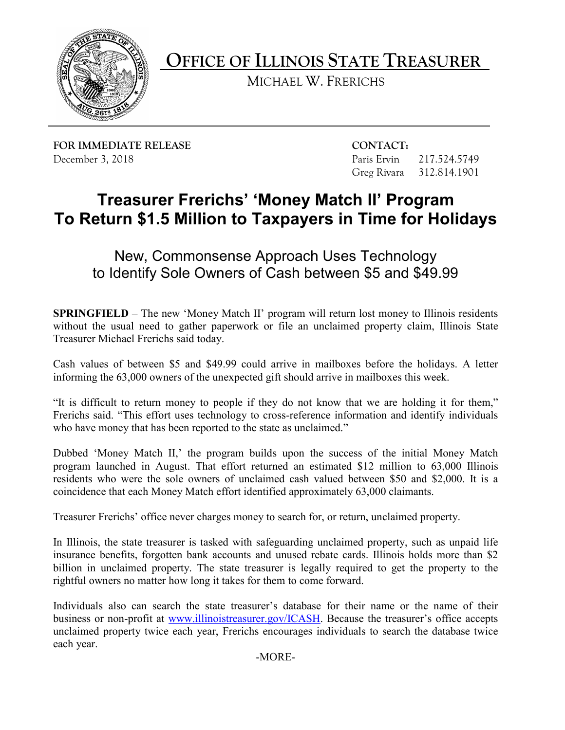

**OFFICE OF ILLINOIS STATE TREASURER** 

MICHAEL W. FRERICHS

**FOR IMMEDIATE RELEASE CONTACT:** December 3, 2018 **Paris Ervin** 217.524.5749

Greg Rivara 312.814.1901

## **To Return \$1.5 Million to Taxpayers in Time for Holidays Treasurer Frerichs' 'Money Match II' Program**

New, Commonsense Approach Uses Technology to Identify Sole Owners of Cash between \$5 and \$49.99

**SPRINGFIELD** – The new 'Money Match II' program will return lost money to Illinois residents without the usual need to gather paperwork or file an unclaimed property claim, Illinois State Treasurer Michael Frerichs said today.

Cash values of between \$5 and \$49.99 could arrive in mailboxes before the holidays. A letter informing the 63,000 owners of the unexpected gift should arrive in mailboxes this week.

 who have money that has been reported to the state as unclaimed." "It is difficult to return money to people if they do not know that we are holding it for them," Frerichs said. "This effort uses technology to cross-reference information and identify individuals

Dubbed 'Money Match II,' the program builds upon the success of the initial Money Match program launched in August. That effort returned an estimated \$12 million to 63,000 Illinois residents who were the sole owners of unclaimed cash valued between \$50 and \$2,000. It is a coincidence that each Money Match effort identified approximately 63,000 claimants.

Treasurer Frerichs' office never charges money to search for, or return, unclaimed property.

In Illinois, the state treasurer is tasked with safeguarding unclaimed property, such as unpaid life insurance benefits, forgotten bank accounts and unused rebate cards. Illinois holds more than \$2 billion in unclaimed property. The state treasurer is legally required to get the property to the rightful owners no matter how long it takes for them to come forward.

 Individuals also can search the state treasurer's database for their name or the name of their business or non-profit at [www.illinoistreasurer.gov/ICASH.](http://www.illinoistreasurer.gov/ICASH) Because the treasurer's office accepts unclaimed property twice each year, Frerichs encourages individuals to search the database twice each year.

-MORE-